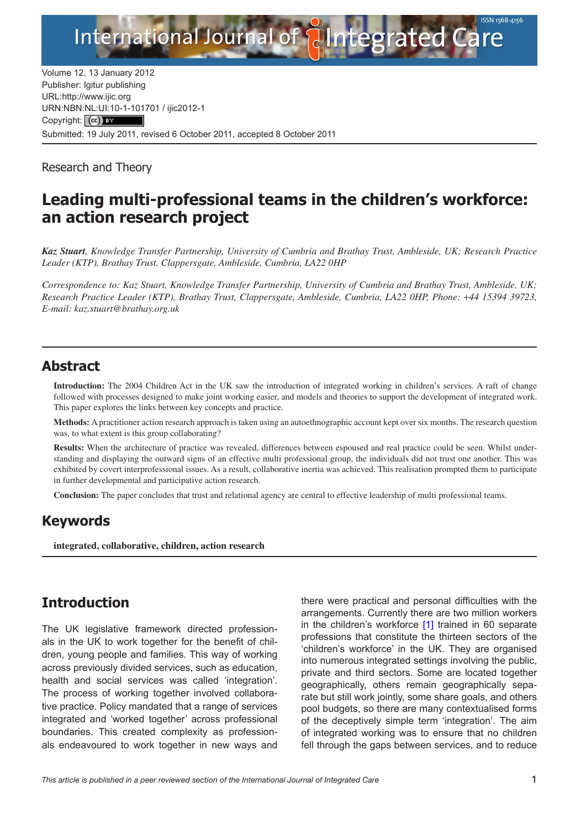

Volume 12, 13 January 2012 Publisher: Igitur publishing URL[:http://www.ijic.org](http://www.ijic.org) URN:NBN[:NL:UI:10-1-1017](http://creativecommons.org/licenses/by/3.0/)01 / ijic2012-1 Copyright: (cc) BY Submitted: 19 July 2011, revised 6 October 2011, accepted 8 October 2011

Research and Theory

# **Leading multi-professional teams in the children's workforce: an action research project**

*Kaz Stuart, Knowledge Transfer Partnership, University of Cumbria and Brathay Trust, Ambleside, UK; Research Practice Leader (KTP), Brathay Trust, Clappersgate, Ambleside, Cumbria, LA22 0HP*

*Correspondence to: Kaz Stuart, Knowledge Transfer Partnership, University of Cumbria and Brathay Trust, Ambleside, UK; Research Practice Leader (KTP), Brathay Trust, Clappersgate, Ambleside, Cumbria, LA22 0HP, Phone:* +*44 15394 39723, E-mail: [kaz.stuart@brathay.org.uk](mailto:kaz.stuart@brathay.org.uk)*

## **Abstract**

**Introduction:** The 2004 Children Act in the UK saw the introduction of integrated working in children's services. A raft of change followed with processes designed to make joint working easier, and models and theories to support the development of integrated work. This paper explores the links between key concepts and practice.

**Methods:** A practitioner action research approach is taken using an autoethnographic account kept over six months. The research question was, to what extent is this group collaborating?

**Results:** When the architecture of practice was revealed, differences between espoused and real practice could be seen. Whilst understanding and displaying the outward signs of an effective multi professional group, the individuals did not trust one another. This was exhibited by covert interprofessional issues. As a result, collaborative inertia was achieved. This realisation prompted them to participate in further developmental and participative action research.

**Conclusion:** The paper concludes that trust and relational agency are central to effective leadership of multi professional teams.

## **Keywords**

**integrated, collaborative, children, action research**

# **Introduction**

The UK legislative framework directed professionals in the UK to work together for the benefit of children, young people and families. This way of working across previously divided services, such as education, health and social services was called 'integration'. The process of working together involved collaborative practice. Policy mandated that a range of services integrated and 'worked together' across professional boundaries. This created complexity as professionals endeavoured to work together in new ways and there were practical and personal difficulties with the arrangements. Currently there are two million workers in the children's workforce [\[1\]](#page-10-0) trained in 60 separate professions that constitute the thirteen sectors of the 'children's workforce' in the UK. They are organised into numerous integrated settings involving the public, private and third sectors. Some are located together geographically, others remain geographically separate but still work jointly, some share goals, and others pool budgets, so there are many contextualised forms of the deceptively simple term 'integration'. The aim of integrated working was to ensure that no children fell through the gaps between services, and to reduce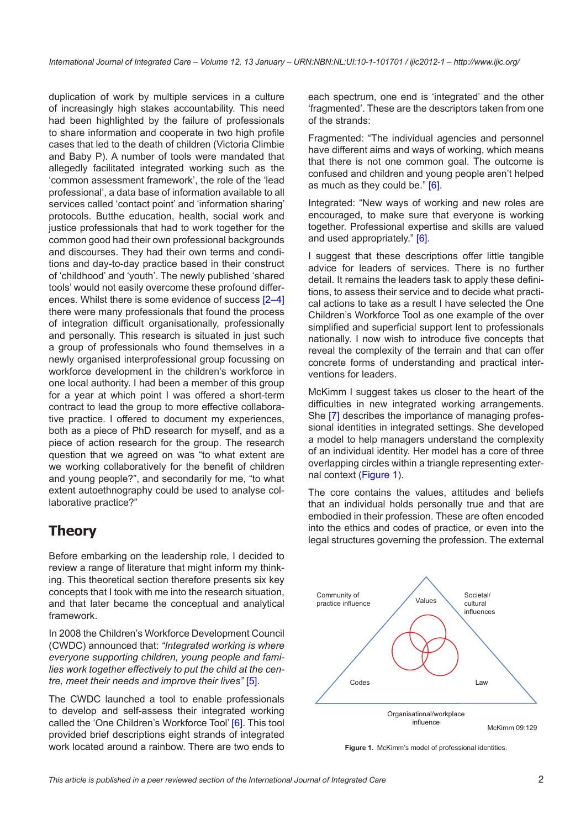duplication of work by multiple services in a culture of increasingly high stakes accountability. This need had been highlighted by the failure of professionals to share information and cooperate in two high profile cases that led to the death of children (Victoria Climbie and Baby P). A number of tools were mandated that allegedly facilitated integrated working such as the 'common assessment framework', the role of the 'lead professional', a data base of information available to all services called 'contact point' and 'information sharing' protocols. Butthe education, health, social work and justice professionals that had to work together for the common good had their own professional backgrounds and discourses. They had their own terms and conditions and day-to-day practice based in their construct of 'childhood' and 'youth'. The newly published 'shared tools' would not easily overcome these profound differences. Whilst there is some evidence of success [[2](#page-10-0)–[4](#page-10-0)] there were many professionals that found the process of integration difficult organisationally, professionally and personally. This research is situated in just such a group of professionals who found themselves in a newly organised interprofessional group focussing on workforce development in the children's workforce in one local authority. I had been a member of this group for a year at which point I was offered a short-term contract to lead the group to more effective collaborative practice. I offered to document my experiences, both as a piece of PhD research for myself, and as a piece of action research for the group. The research question that we agreed on was "to what extent are we working collaboratively for the benefit of children and young people?", and secondarily for me, "to what extent autoethnography could be used to analyse collaborative practice?"

# **Theory**

Before embarking on the leadership role, I decided to review a range of literature that might inform my thinking. This theoretical section therefore presents six key concepts that I took with me into the research situation, and that later became the conceptual and analytical framework.

In 2008 the Children's Workforce Development Council (CWDC) announced that: *"Integrated working is where everyone supporting children, young people and families work together effectively to put the child at the centre, meet their needs and improve their lives"* [\[5\]](#page-10-0).

The CWDC launched a tool to enable professionals to develop and self-assess their integrated working called the 'One Children's Workforce Tool' [\[6\]](#page-10-0). This tool provided brief descriptions eight strands of integrated work located around a rainbow. There are two ends to

each spectrum, one end is 'integrated' and the other 'fragmented'. These are the descriptors taken from one of the strands:

Fragmented: "The individual agencies and personnel have different aims and ways of working, which means that there is not one common goal. The outcome is confused and children and young people aren't helped as much as they could be." [\[6\]](#page-10-0).

Integrated: "New ways of working and new roles are encouraged, to make sure that everyone is working together. Professional expertise and skills are valued and used appropriately." [[6](#page-10-0)].

I suggest that these descriptions offer little tangible advice for leaders of services. There is no further detail. It remains the leaders task to apply these definitions, to assess their service and to decide what practical actions to take as a result I have selected the One Children's Workforce Tool as one example of the over simplified and superficial support lent to professionals nationally. I now wish to introduce five concepts that reveal the complexity of the terrain and that can offer concrete forms of understanding and practical interventions for leaders.

McKimm I suggest takes us closer to the heart of the difficulties in new integrated working arrangements. She [[7](#page-10-0)] describes the importance of managing professional identities in integrated settings. She developed a model to help managers understand the complexity of an individual identity. Her model has a core of three overlapping circles within a triangle representing external context ([Figure 1](#page-1-0)).

The core contains the values, attitudes and beliefs that an individual holds personally true and that are embodied in their profession. These are often encoded into the ethics and codes of practice, or even into the legal structures governing the profession. The external



<span id="page-1-0"></span>Figure 1. McKimm's model of professional identities.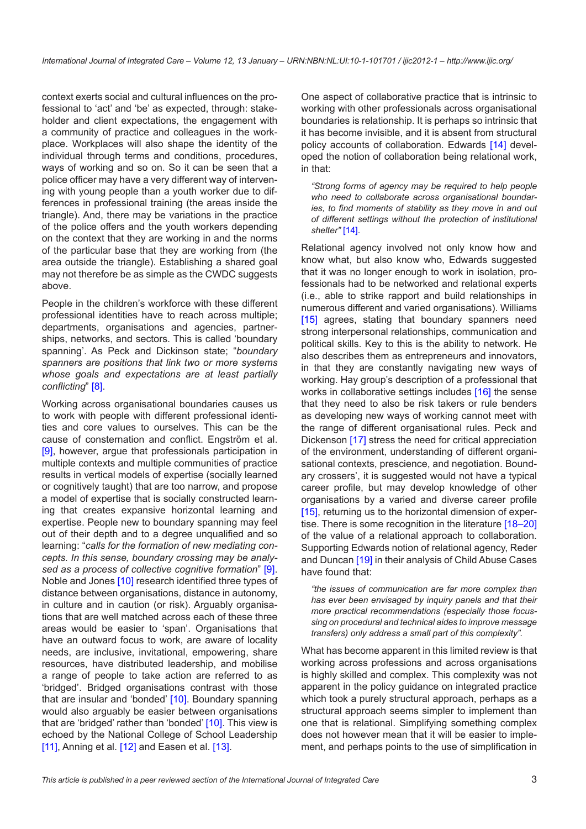context exerts social and cultural influences on the professional to 'act' and 'be' as expected, through: stakeholder and client expectations, the engagement with a community of practice and colleagues in the workplace. Workplaces will also shape the identity of the individual through terms and conditions, procedures, ways of working and so on. So it can be seen that a police officer may have a very different way of intervening with young people than a youth worker due to differences in professional training (the areas inside the triangle). And, there may be variations in the practice of the police offers and the youth workers depending on the context that they are working in and the norms of the particular base that they are working from (the area outside the triangle). Establishing a shared goal may not therefore be as simple as the CWDC suggests above.

People in the children's workforce with these different professional identities have to reach across multiple; departments, organisations and agencies, partnerships, networks, and sectors. This is called 'boundary spanning'. As Peck and Dickinson state; "*boundary spanners are positions that link two or more systems whose goals and expectations are at least partially conflicting*" [[8](#page-10-0)].

Working across organisational boundaries causes us to work with people with different professional identities and core values to ourselves. This can be the cause of consternation and conflict. Engström et al. [\[9\]](#page-10-0), however, argue that professionals participation in multiple contexts and multiple communities of practice results in vertical models of expertise (socially learned or cognitively taught) that are too narrow, and propose a model of expertise that is socially constructed learning that creates expansive horizontal learning and expertise. People new to boundary spanning may feel out of their depth and to a degree unqualified and so learning: "*calls for the formation of new mediating concepts. In this sense, boundary crossing may be analysed as a process of collective cognitive formation*" [[9](#page-10-0)]. Noble and Jones [\[10](#page-10-0)] research identified three types of distance between organisations, distance in autonomy, in culture and in caution (or risk). Arguably organisations that are well matched across each of these three areas would be easier to 'span'. Organisations that have an outward focus to work, are aware of locality needs, are inclusive, invitational, empowering, share resources, have distributed leadership, and mobilise a range of people to take action are referred to as 'bridged'. Bridged organisations contrast with those that are insular and 'bonded' [[10\]](#page-10-0). Boundary spanning would also arguably be easier between organisations that are 'bridged' rather than 'bonded' [[10](#page-10-0)]. This view is echoed by the National College of School Leadership [\[11\]](#page-10-0), Anning et al. [[12\]](#page-10-0) and Easen et al. [\[13](#page-11-0)].

One aspect of collaborative practice that is intrinsic to working with other professionals across organisational boundaries is relationship. It is perhaps so intrinsic that it has become invisible, and it is absent from structural policy accounts of collaboration. Edwards [[14\]](#page-11-0) developed the notion of collaboration being relational work, in that:

*"Strong forms of agency may be required to help people who need to collaborate across organisational boundaries, to find moments of stability as they move in and out of different settings without the protection of institutional shelter"* [\[14](#page-11-0)].

Relational agency involved not only know how and know what, but also know who, Edwards suggested that it was no longer enough to work in isolation, professionals had to be networked and relational experts (i.e., able to strike rapport and build relationships in numerous different and varied organisations). Williams [[15](#page-11-0)] agrees, stating that boundary spanners need strong interpersonal relationships, communication and political skills. Key to this is the ability to network. He also describes them as entrepreneurs and innovators, in that they are constantly navigating new ways of working. Hay group's description of a professional that works in collaborative settings includes [\[16](#page-11-0)] the sense that they need to also be risk takers or rule benders as developing new ways of working cannot meet with the range of different organisational rules. Peck and Dickenson [\[17](#page-11-0)] stress the need for critical appreciation of the environment, understanding of different organisational contexts, prescience, and negotiation. Boundary crossers', it is suggested would not have a typical career profile, but may develop knowledge of other organisations by a varied and diverse career profile [[15](#page-11-0)], returning us to the horizontal dimension of exper-tise. There is some recognition in the literature [\[18](#page-11-0)–[20\]](#page-11-0) of the value of a relational approach to collaboration. Supporting Edwards notion of relational agency, Reder and Duncan [[19\]](#page-11-0) in their analysis of Child Abuse Cases have found that:

*"the issues of communication are far more complex than has ever been envisaged by inquiry panels and that their more practical recommendations (especially those focussing on procedural and technical aides to improve message transfers) only address a small part of this complexity".*

What has become apparent in this limited review is that working across professions and across organisations is highly skilled and complex. This complexity was not apparent in the policy guidance on integrated practice which took a purely structural approach, perhaps as a structural approach seems simpler to implement than one that is relational. Simplifying something complex does not however mean that it will be easier to implement, and perhaps points to the use of simplification in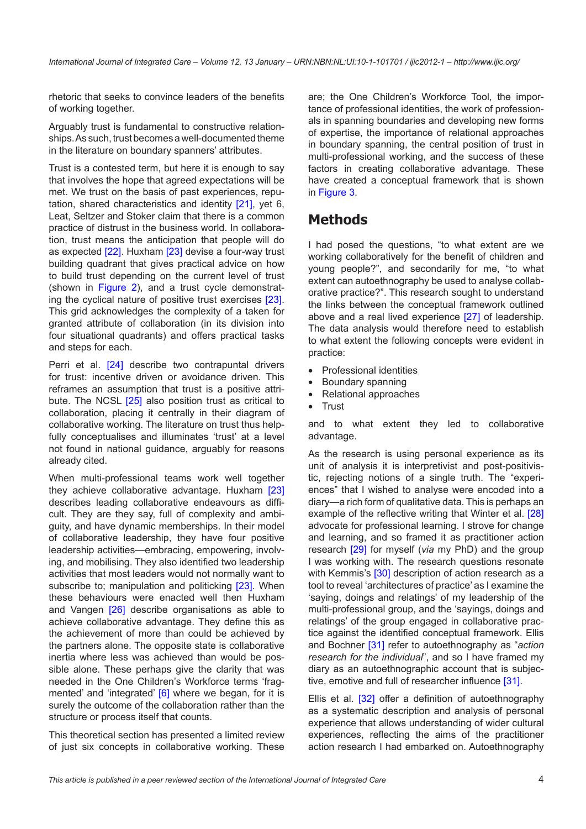rhetoric that seeks to convince leaders of the benefits of working together.

Arguably trust is fundamental to constructive relationships. As such, trust becomes a well-documented theme in the literature on boundary spanners' attributes.

Trust is a contested term, but here it is enough to say that involves the hope that agreed expectations will be met. We trust on the basis of past experiences, reputation, shared characteristics and identity [[21\]](#page-11-0), yet 6, Leat, Seltzer and Stoker claim that there is a common practice of distrust in the business world. In collaboration, trust means the anticipation that people will do as expected [\[22](#page-11-0)]. Huxham [[23\]](#page-11-0) devise a four-way trust building quadrant that gives practical advice on how to build trust depending on the current level of trust (shown in [Figure 2](#page-4-0)), and a trust cycle demonstrating the cyclical nature of positive trust exercises [\[23\]](#page-11-0). This grid acknowledges the complexity of a taken for granted attribute of collaboration (in its division into four situational quadrants) and offers practical tasks and steps for each.

Perri et al. [\[24\]](#page-11-0) describe two contrapuntal drivers for trust: incentive driven or avoidance driven. This reframes an assumption that trust is a positive attri-bute. The NCSL [[25\]](#page-11-0) also position trust as critical to collaboration, placing it centrally in their diagram of collaborative working. The literature on trust thus helpfully conceptualises and illuminates 'trust' at a level not found in national guidance, arguably for reasons already cited.

When multi-professional teams work well together they achieve collaborative advantage. Huxham [\[23](#page-11-0)] describes leading collaborative endeavours as difficult. They are they say, full of complexity and ambiguity, and have dynamic memberships. In their model of collaborative leadership, they have four positive leadership activities—embracing, empowering, involving, and mobilising. They also identified two leadership activities that most leaders would not normally want to subscribe to: manipulation and politicking [[23\]](#page-11-0). When these behaviours were enacted well then Huxham and Vangen [\[26\]](#page-11-0) describe organisations as able to achieve collaborative advantage. They define this as the achievement of more than could be achieved by the partners alone. The opposite state is collaborative inertia where less was achieved than would be possible alone. These perhaps give the clarity that was needed in the One Children's Workforce terms 'frag-mented' and 'integrated' [[6\]](#page-10-0) where we began, for it is surely the outcome of the collaboration rather than the structure or process itself that counts.

This theoretical section has presented a limited review of just six concepts in collaborative working. These

are; the One Children's Workforce Tool, the importance of professional identities, the work of professionals in spanning boundaries and developing new forms of expertise, the importance of relational approaches in boundary spanning, the central position of trust in multi-professional working, and the success of these factors in creating collaborative advantage. These have created a conceptual framework that is shown in [Figure 3](#page-4-1).

## **Methods**

I had posed the questions, "to what extent are we working collaboratively for the benefit of children and young people?", and secondarily for me, "to what extent can autoethnography be used to analyse collaborative practice?". This research sought to understand the links between the conceptual framework outlined above and a real lived experience [\[27](#page-11-0)] of leadership. The data analysis would therefore need to establish to what extent the following concepts were evident in practice:

- **Professional identities**
- Boundary spanning
- Relational approaches
- **Trust**

and to what extent they led to collaborative advantage.

As the research is using personal experience as its unit of analysis it is interpretivist and post-positivistic, rejecting notions of a single truth. The "experiences" that I wished to analyse were encoded into a diary—a rich form of qualitative data. This is perhaps an example of the reflective writing that Winter et al. [[28\]](#page-11-0) advocate for professional learning. I strove for change and learning, and so framed it as practitioner action research [[29\]](#page-11-0) for myself (*via* my PhD) and the group I was working with. The research questions resonate with Kemmis's [[30\]](#page-11-0) description of action research as a tool to reveal 'architectures of practice' as I examine the 'saying, doings and relatings' of my leadership of the multi-professional group, and the 'sayings, doings and relatings' of the group engaged in collaborative practice against the identified conceptual framework. Ellis and Bochner [[31](#page-11-0)] refer to autoethnography as "*action research for the individual*", and so I have framed my diary as an autoethnographic account that is subjec-tive, emotive and full of researcher influence [\[31\]](#page-11-0).

Ellis et al. [\[32](#page-11-0)] offer a definition of autoethnography as a systematic description and analysis of personal experience that allows understanding of wider cultural experiences, reflecting the aims of the practitioner action research I had embarked on. Autoethnography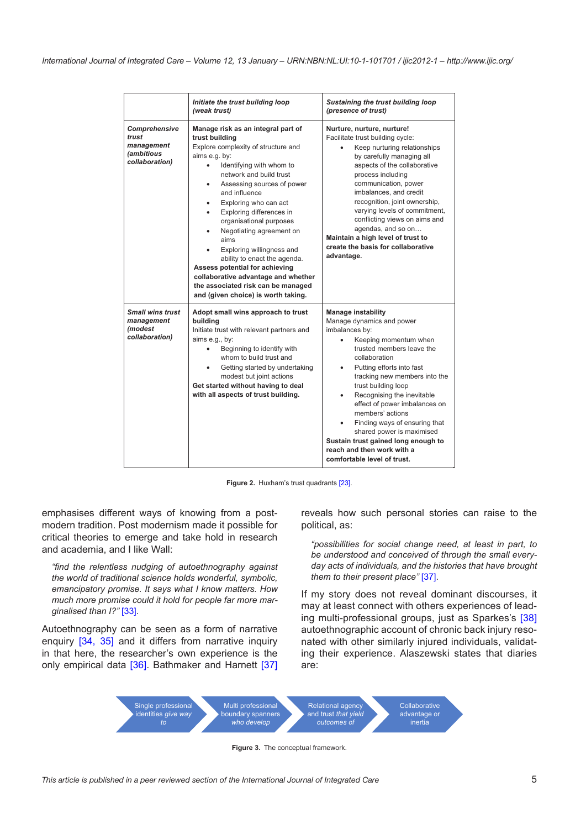|                                                                             | Initiate the trust building loop<br>(weak trust)                                                                                                                                                                                                                                                                                                                                                                                                                                                                                                                                              | Sustaining the trust building loop<br>(presence of trust)                                                                                                                                                                                                                                                                                                                                                                                                                                                           |
|-----------------------------------------------------------------------------|-----------------------------------------------------------------------------------------------------------------------------------------------------------------------------------------------------------------------------------------------------------------------------------------------------------------------------------------------------------------------------------------------------------------------------------------------------------------------------------------------------------------------------------------------------------------------------------------------|---------------------------------------------------------------------------------------------------------------------------------------------------------------------------------------------------------------------------------------------------------------------------------------------------------------------------------------------------------------------------------------------------------------------------------------------------------------------------------------------------------------------|
| Comprehensive<br>trust<br>management<br><i>(ambitious</i><br>collaboration) | Manage risk as an integral part of<br>trust building<br>Explore complexity of structure and<br>aims e.g. by:<br>Identifying with whom to<br>$\bullet$<br>network and build trust<br>Assessing sources of power<br>and influence<br>Exploring who can act<br>٠<br>Exploring differences in<br>$\bullet$<br>organisational purposes<br>Negotiating agreement on<br>٠<br>aims<br>Exploring willingness and<br>ability to enact the agenda.<br>Assess potential for achieving<br>collaborative advantage and whether<br>the associated risk can be managed<br>and (given choice) is worth taking. | Nurture, nurture, nurture!<br>Facilitate trust building cycle:<br>Keep nurturing relationships<br>by carefully managing all<br>aspects of the collaborative<br>process including<br>communication, power<br>imbalances, and credit<br>recognition, joint ownership,<br>varying levels of commitment,<br>conflicting views on aims and<br>agendas, and so on<br>Maintain a high level of trust to<br>create the basis for collaborative<br>advantage.                                                                |
| <b>Small wins trust</b><br>management<br><i>(modest</i> )<br>collaboration) | Adopt small wins approach to trust<br>building<br>Initiate trust with relevant partners and<br>aims e.g., by:<br>Beginning to identify with<br>whom to build trust and<br>Getting started by undertaking<br>$\bullet$<br>modest but joint actions<br>Get started without having to deal<br>with all aspects of trust building.                                                                                                                                                                                                                                                                | <b>Manage instability</b><br>Manage dynamics and power<br>imbalances by:<br>Keeping momentum when<br>trusted members leave the<br>collaboration<br>Putting efforts into fast<br>$\bullet$<br>tracking new members into the<br>trust building loop<br>Recognising the inevitable<br>$\bullet$<br>effect of power imbalances on<br>members' actions<br>Finding ways of ensuring that<br>shared power is maximised<br>Sustain trust gained long enough to<br>reach and then work with a<br>comfortable level of trust. |

**Figure 2.** Huxham's trust quadrants [\[23](#page-11-0)].

emphasises different ways of knowing from a postmodern tradition. Post modernism made it possible for critical theories to emerge and take hold in research and academia, and I like Wall:

*"find the relentless nudging of autoethnography against the world of traditional science holds wonderful, symbolic, emancipatory promise. It says what I know matters. How much more promise could it hold for people far more marginalised than I?"* [\[33](#page-11-0)].

Autoethnography can be seen as a form of narrative enquiry [[34](#page-11-0), [35\]](#page-11-0) and it differs from narrative inquiry in that here, the researcher's own experience is the only empirical data [\[36](#page-11-0)]. Bathmaker and Harnett [\[37](#page-11-0)]

<span id="page-4-0"></span>reveals how such personal stories can raise to the political, as:

*"possibilities for social change need, at least in part, to be understood and conceived of through the small everyday acts of individuals, and the histories that have brought them to their present place"* [[37\]](#page-11-0).

If my story does not reveal dominant discourses, it may at least connect with others experiences of leading multi-professional groups, just as Sparkes's [[38\]](#page-11-0) autoethnographic account of chronic back injury resonated with other similarly injured individuals, validating their experience. Alaszewski states that diaries are:



<span id="page-4-1"></span>**Figure 3.** The conceptual framework.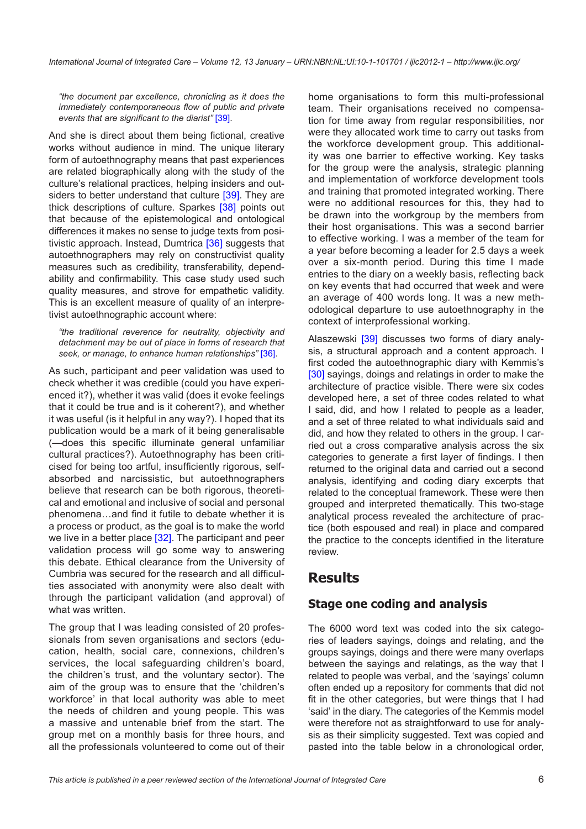*"the document par excellence, chronicling as it does the immediately contemporaneous flow of public and private events that are significant to the diarist"* [\[39](#page-11-0)].

And she is direct about them being fictional, creative works without audience in mind. The unique literary form of autoethnography means that past experiences are related biographically along with the study of the culture's relational practices, helping insiders and out-siders to better understand that culture [\[39\]](#page-11-0). They are thick descriptions of culture. Sparkes [[38](#page-11-0)] points out that because of the epistemological and ontological differences it makes no sense to judge texts from posi-tivistic approach. Instead, Dumtrica [\[36](#page-11-0)] suggests that autoethnographers may rely on constructivist quality measures such as credibility, transferability, dependability and confirmability. This case study used such quality measures, and strove for empathetic validity. This is an excellent measure of quality of an interpretivist autoethnographic account where:

*"the traditional reverence for neutrality, objectivity and detachment may be out of place in forms of research that seek, or manage, to enhance human relationships"* [\[36](#page-11-0)].

As such, participant and peer validation was used to check whether it was credible (could you have experienced it?), whether it was valid (does it evoke feelings that it could be true and is it coherent?), and whether it was useful (is it helpful in any way?). I hoped that its publication would be a mark of it being generalisable (—does this specific illuminate general unfamiliar cultural practices?). Autoethnography has been criticised for being too artful, insufficiently rigorous, selfabsorbed and narcissistic, but autoethnographers believe that research can be both rigorous, theoretical and emotional and inclusive of social and personal phenomena…and find it futile to debate whether it is a process or product, as the goal is to make the world we live in a better place  $[32]$  $[32]$ . The participant and peer validation process will go some way to answering this debate. Ethical clearance from the University of Cumbria was secured for the research and all difficulties associated with anonymity were also dealt with through the participant validation (and approval) of what was written.

The group that I was leading consisted of 20 professionals from seven organisations and sectors (education, health, social care, connexions, children's services, the local safeguarding children's board, the children's trust, and the voluntary sector). The aim of the group was to ensure that the 'children's workforce' in that local authority was able to meet the needs of children and young people. This was a massive and untenable brief from the start. The group met on a monthly basis for three hours, and all the professionals volunteered to come out of their home organisations to form this multi-professional team. Their organisations received no compensation for time away from regular responsibilities, nor were they allocated work time to carry out tasks from the workforce development group. This additionality was one barrier to effective working. Key tasks for the group were the analysis, strategic planning and implementation of workforce development tools and training that promoted integrated working. There were no additional resources for this, they had to be drawn into the workgroup by the members from their host organisations. This was a second barrier to effective working. I was a member of the team for a year before becoming a leader for 2.5 days a week over a six-month period. During this time I made entries to the diary on a weekly basis, reflecting back on key events that had occurred that week and were an average of 400 words long. It was a new methodological departure to use autoethnography in the context of interprofessional working.

Alaszewski <a>[[39](#page-11-0)]</a> discusses two forms of diary analysis, a structural approach and a content approach. I first coded the autoethnographic diary with Kemmis's [[30](#page-11-0)] sayings, doings and relatings in order to make the architecture of practice visible. There were six codes developed here, a set of three codes related to what I said, did, and how I related to people as a leader, and a set of three related to what individuals said and did, and how they related to others in the group. I carried out a cross comparative analysis across the six categories to generate a first layer of findings. I then returned to the original data and carried out a second analysis, identifying and coding diary excerpts that related to the conceptual framework. These were then grouped and interpreted thematically. This two-stage analytical process revealed the architecture of practice (both espoused and real) in place and compared the practice to the concepts identified in the literature review.

## **Results**

### **Stage one coding and analysis**

The 6000 word text was coded into the six categories of leaders sayings, doings and relating, and the groups sayings, doings and there were many overlaps between the sayings and relatings, as the way that I related to people was verbal, and the 'sayings' column often ended up a repository for comments that did not fit in the other categories, but were things that I had 'said' in the diary. The categories of the Kemmis model were therefore not as straightforward to use for analysis as their simplicity suggested. Text was copied and pasted into the table below in a chronological order,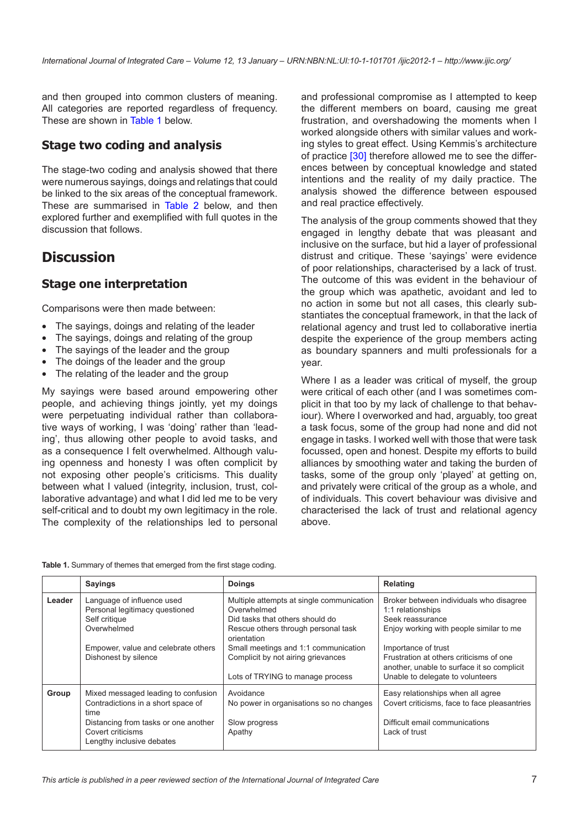and then grouped into common clusters of meaning. All categories are reported regardless of frequency. These are shown in [Table 1](#page-6-0) below.

### **Stage two coding and analysis**

The stage-two coding and analysis showed that there were numerous sayings, doings and relatings that could be linked to the six areas of the conceptual framework. These are summarised in [Table 2](#page-7-0) below, and then explored further and exemplified with full quotes in the discussion that follows.

## **Discussion**

### **Stage one interpretation**

Comparisons were then made between:

- The savings, doings and relating of the leader
- The sayings, doings and relating of the group
- The sayings of the leader and the group
- The doings of the leader and the group
- The relating of the leader and the group

My sayings were based around empowering other people, and achieving things jointly, yet my doings were perpetuating individual rather than collaborative ways of working, I was 'doing' rather than 'leading', thus allowing other people to avoid tasks, and as a consequence I felt overwhelmed. Although valuing openness and honesty I was often complicit by not exposing other people's criticisms. This duality between what I valued (integrity, inclusion, trust, collaborative advantage) and what I did led me to be very self-critical and to doubt my own legitimacy in the role. The complexity of the relationships led to personal and professional compromise as I attempted to keep the different members on board, causing me great frustration, and overshadowing the moments when I worked alongside others with similar values and working styles to great effect. Using Kemmis's architecture of practice [\[30\]](#page-11-0) therefore allowed me to see the differences between by conceptual knowledge and stated intentions and the reality of my daily practice. The analysis showed the difference between espoused and real practice effectively.

The analysis of the group comments showed that they engaged in lengthy debate that was pleasant and inclusive on the surface, but hid a layer of professional distrust and critique. These 'sayings' were evidence of poor relationships, characterised by a lack of trust. The outcome of this was evident in the behaviour of the group which was apathetic, avoidant and led to no action in some but not all cases, this clearly substantiates the conceptual framework, in that the lack of relational agency and trust led to collaborative inertia despite the experience of the group members acting as boundary spanners and multi professionals for a year.

Where I as a leader was critical of myself, the group were critical of each other (and I was sometimes complicit in that too by my lack of challenge to that behaviour). Where I overworked and had, arguably, too great a task focus, some of the group had none and did not engage in tasks. I worked well with those that were task focussed, open and honest. Despite my efforts to build alliances by smoothing water and taking the burden of tasks, some of the group only 'played' at getting on, and privately were critical of the group as a whole, and of individuals. This covert behaviour was divisive and characterised the lack of trust and relational agency above.

<span id="page-6-0"></span>

| Table 1. Summary of themes that emerged from the first stage coding. |  |  |  |  |
|----------------------------------------------------------------------|--|--|--|--|
|----------------------------------------------------------------------|--|--|--|--|

|        | <b>Sayings</b>                                                                                                                                                              | <b>Doings</b>                                                                                                                                                                                                                                                       | <b>Relating</b>                                                                                                                                                                                                                                                                 |
|--------|-----------------------------------------------------------------------------------------------------------------------------------------------------------------------------|---------------------------------------------------------------------------------------------------------------------------------------------------------------------------------------------------------------------------------------------------------------------|---------------------------------------------------------------------------------------------------------------------------------------------------------------------------------------------------------------------------------------------------------------------------------|
| Leader | Language of influence used<br>Personal legitimacy questioned<br>Self critique<br>Overwhelmed<br>Empower, value and celebrate others<br>Dishonest by silence                 | Multiple attempts at single communication<br>Overwhelmed<br>Did tasks that others should do<br>Rescue others through personal task<br>orientation<br>Small meetings and 1:1 communication<br>Complicit by not airing grievances<br>Lots of TRYING to manage process | Broker between individuals who disagree<br>1:1 relationships<br>Seek reassurance<br>Enjoy working with people similar to me<br>Importance of trust<br>Frustration at others criticisms of one<br>another, unable to surface it so complicit<br>Unable to delegate to volunteers |
| Group  | Mixed messaged leading to confusion<br>Contradictions in a short space of<br>time<br>Distancing from tasks or one another<br>Covert criticisms<br>Lengthy inclusive debates | Avoidance<br>No power in organisations so no changes<br>Slow progress<br>Apathy                                                                                                                                                                                     | Easy relationships when all agree<br>Covert criticisms, face to face pleasantries<br>Difficult email communications<br>Lack of trust                                                                                                                                            |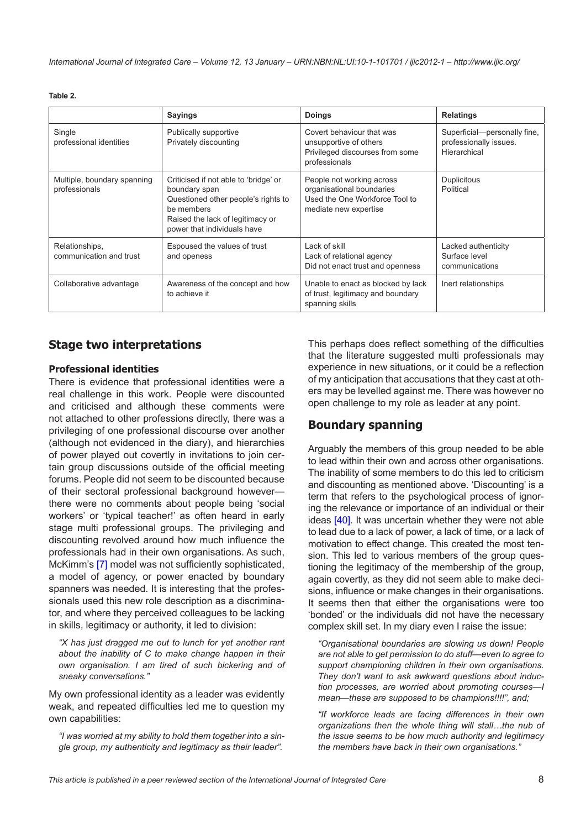#### <span id="page-7-0"></span>**Table 2.**

|                                              | <b>Sayings</b>                                                                                                                                                                 | <b>Doings</b>                                                                                                     | <b>Relatings</b>                                                       |
|----------------------------------------------|--------------------------------------------------------------------------------------------------------------------------------------------------------------------------------|-------------------------------------------------------------------------------------------------------------------|------------------------------------------------------------------------|
| Single<br>professional identities            | Publically supportive<br>Privately discounting                                                                                                                                 | Covert behaviour that was<br>unsupportive of others<br>Privileged discourses from some<br>professionals           | Superficial-personally fine,<br>professionally issues.<br>Hierarchical |
| Multiple, boundary spanning<br>professionals | Criticised if not able to 'bridge' or<br>boundary span<br>Questioned other people's rights to<br>be members<br>Raised the lack of legitimacy or<br>power that individuals have | People not working across<br>organisational boundaries<br>Used the One Workforce Tool to<br>mediate new expertise | <b>Duplicitous</b><br>Political                                        |
| Relationships,<br>communication and trust    | Espoused the values of trust<br>and openess                                                                                                                                    | Lack of skill<br>Lack of relational agency<br>Did not enact trust and openness                                    | Lacked authenticity<br>Surface level<br>communications                 |
| Collaborative advantage                      | Awareness of the concept and how<br>to achieve it                                                                                                                              | Unable to enact as blocked by lack<br>of trust, legitimacy and boundary<br>spanning skills                        | Inert relationships                                                    |

### **Stage two interpretations**

#### **Professional identities**

There is evidence that professional identities were a real challenge in this work. People were discounted and criticised and although these comments were not attached to other professions directly, there was a privileging of one professional discourse over another (although not evidenced in the diary), and hierarchies of power played out covertly in invitations to join certain group discussions outside of the official meeting forums. People did not seem to be discounted because of their sectoral professional background however there were no comments about people being 'social workers' or 'typical teacher!' as often heard in early stage multi professional groups. The privileging and discounting revolved around how much influence the professionals had in their own organisations. As such, McKimm's [[7](#page-10-0)] model was not sufficiently sophisticated, a model of agency, or power enacted by boundary spanners was needed. It is interesting that the professionals used this new role description as a discriminator, and where they perceived colleagues to be lacking in skills, legitimacy or authority, it led to division:

*"X has just dragged me out to lunch for yet another rant about the inability of C to make change happen in their own organisation. I am tired of such bickering and of sneaky conversations."*

My own professional identity as a leader was evidently weak, and repeated difficulties led me to question my own capabilities:

*"I was worried at my ability to hold them together into a single group, my authenticity and legitimacy as their leader".*

This perhaps does reflect something of the difficulties that the literature suggested multi professionals may experience in new situations, or it could be a reflection of my anticipation that accusations that they cast at others may be levelled against me. There was however no open challenge to my role as leader at any point.

### **Boundary spanning**

Arguably the members of this group needed to be able to lead within their own and across other organisations. The inability of some members to do this led to criticism and discounting as mentioned above. 'Discounting' is a term that refers to the psychological process of ignoring the relevance or importance of an individual or their ideas [\[40](#page-11-0)]. It was uncertain whether they were not able to lead due to a lack of power, a lack of time, or a lack of motivation to effect change. This created the most tension. This led to various members of the group questioning the legitimacy of the membership of the group, again covertly, as they did not seem able to make decisions, influence or make changes in their organisations. It seems then that either the organisations were too 'bonded' or the individuals did not have the necessary complex skill set. In my diary even I raise the issue:

*"Organisational boundaries are slowing us down! People are not able to get permission to do stuff—even to agree to support championing children in their own organisations. They don't want to ask awkward questions about induction processes, are worried about promoting courses—I mean—these are supposed to be champions!!!!", and;*

*"If workforce leads are facing differences in their own organizations then the whole thing will stall…the nub of the issue seems to be how much authority and legitimacy the members have back in their own organisations."*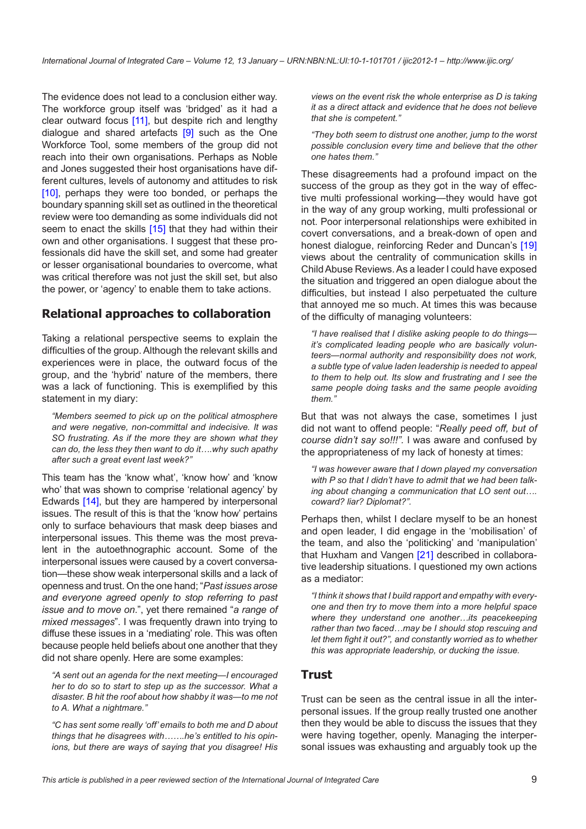The evidence does not lead to a conclusion either way. The workforce group itself was 'bridged' as it had a clear outward focus [\[11](#page-10-0)], but despite rich and lengthy dialogue and shared artefacts  $[9]$  $[9]$  $[9]$  such as the One Workforce Tool, some members of the group did not reach into their own organisations. Perhaps as Noble and Jones suggested their host organisations have different cultures, levels of autonomy and attitudes to risk [\[10](#page-10-0)], perhaps they were too bonded, or perhaps the boundary spanning skill set as outlined in the theoretical review were too demanding as some individuals did not seem to enact the skills [[15\]](#page-11-0) that they had within their own and other organisations. I suggest that these professionals did have the skill set, and some had greater or lesser organisational boundaries to overcome, what was critical therefore was not just the skill set, but also the power, or 'agency' to enable them to take actions.

### **Relational approaches to collaboration**

Taking a relational perspective seems to explain the difficulties of the group. Although the relevant skills and experiences were in place, the outward focus of the group, and the 'hybrid' nature of the members, there was a lack of functioning. This is exemplified by this statement in my diary:

*"Members seemed to pick up on the political atmosphere and were negative, non-committal and indecisive. It was SO frustrating. As if the more they are shown what they can do, the less they then want to do it….why such apathy after such a great event last week?"*

This team has the 'know what', 'know how' and 'know who' that was shown to comprise 'relational agency' by Edwards [\[14\]](#page-11-0), but they are hampered by interpersonal issues. The result of this is that the 'know how' pertains only to surface behaviours that mask deep biases and interpersonal issues. This theme was the most prevalent in the autoethnographic account. Some of the interpersonal issues were caused by a covert conversation—these show weak interpersonal skills and a lack of openness and trust. On the one hand; "*Past issues arose and everyone agreed openly to stop referring to past issue and to move on*.", yet there remained "*a range of mixed messages*". I was frequently drawn into trying to diffuse these issues in a 'mediating' role. This was often because people held beliefs about one another that they did not share openly. Here are some examples:

*"A sent out an agenda for the next meeting—I encouraged her to do so to start to step up as the successor. What a disaster. B hit the roof about how shabby it was—to me not to A. What a nightmare."*

*"C has sent some really 'off' emails to both me and D about things that he disagrees with…….he's entitled to his opinions, but there are ways of saying that you disagree! His*  *views on the event risk the whole enterprise as D is taking it as a direct attack and evidence that he does not believe that she is competent."*

*"They both seem to distrust one another, jump to the worst possible conclusion every time and believe that the other one hates them."*

These disagreements had a profound impact on the success of the group as they got in the way of effective multi professional working—they would have got in the way of any group working, multi professional or not. Poor interpersonal relationships were exhibited in covert conversations, and a break-down of open and honest dialogue, reinforcing Reder and Duncan's [[19\]](#page-11-0) views about the centrality of communication skills in Child Abuse Reviews. As a leader I could have exposed the situation and triggered an open dialogue about the difficulties, but instead I also perpetuated the culture that annoyed me so much. At times this was because of the difficulty of managing volunteers:

*"I have realised that I dislike asking people to do things it's complicated leading people who are basically volunteers—normal authority and responsibility does not work, a subtle type of value laden leadership is needed to appeal to them to help out. Its slow and frustrating and I see the same people doing tasks and the same people avoiding them."*

But that was not always the case, sometimes I just did not want to offend people: "*Really peed off, but of course didn't say so!!!".* I was aware and confused by the appropriateness of my lack of honesty at times:

*"I was however aware that I down played my conversation with P so that I didn't have to admit that we had been talking about changing a communication that LO sent out…. coward? liar? Diplomat?".*

Perhaps then, whilst I declare myself to be an honest and open leader, I did engage in the 'mobilisation' of the team, and also the 'politicking' and 'manipulation' that Huxham and Vangen [[21\]](#page-11-0) described in collaborative leadership situations. I questioned my own actions as a mediator:

*"I think it shows that I build rapport and empathy with everyone and then try to move them into a more helpful space where they understand one another…its peacekeeping rather than two faced…may be I should stop rescuing and let them fight it out?", and constantly worried as to whether this was appropriate leadership, or ducking the issue.*

### **Trust**

Trust can be seen as the central issue in all the interpersonal issues. If the group really trusted one another then they would be able to discuss the issues that they were having together, openly. Managing the interpersonal issues was exhausting and arguably took up the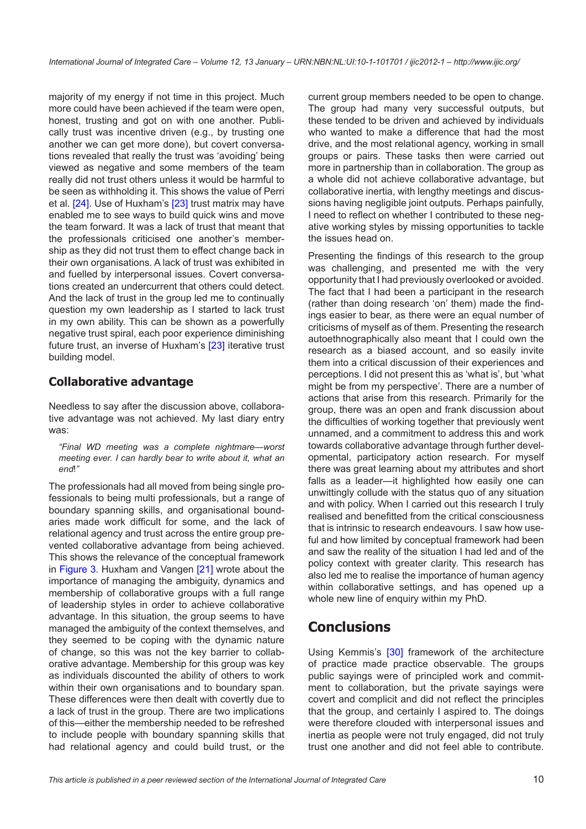majority of my energy if not time in this project. Much more could have been achieved if the team were open, honest, trusting and got on with one another. Publically trust was incentive driven (e.g., by trusting one another we can get more done), but covert conversations revealed that really the trust was 'avoiding' being viewed as negative and some members of the team really did not trust others unless it would be harmful to be seen as withholding it. This shows the value of Perri et al. [[24\]](#page-11-0). Use of Huxham's [\[23](#page-11-0)] trust matrix may have enabled me to see ways to build quick wins and move the team forward. It was a lack of trust that meant that the professionals criticised one another's membership as they did not trust them to effect change back in their own organisations. A lack of trust was exhibited in and fuelled by interpersonal issues. Covert conversations created an undercurrent that others could detect. And the lack of trust in the group led me to continually question my own leadership as I started to lack trust in my own ability. This can be shown as a powerfully negative trust spiral, each poor experience diminishing future trust, an inverse of Huxham's [[23\]](#page-11-0) iterative trust building model.

### **Collaborative advantage**

Needless to say after the discussion above, collaborative advantage was not achieved. My last diary entry was:

*"Final WD meeting was a complete nightmare—worst meeting ever. I can hardly bear to write about it, what an end*!*"*

The professionals had all moved from being single professionals to being multi professionals, but a range of boundary spanning skills, and organisational boundaries made work difficult for some, and the lack of relational agency and trust across the entire group prevented collaborative advantage from being achieved. This shows the relevance of the conceptual framework in [Figure 3](#page-4-1). Huxham and Vangen [[21\]](#page-11-0) wrote about the importance of managing the ambiguity, dynamics and membership of collaborative groups with a full range of leadership styles in order to achieve collaborative advantage. In this situation, the group seems to have managed the ambiguity of the context themselves, and they seemed to be coping with the dynamic nature of change, so this was not the key barrier to collaborative advantage. Membership for this group was key as individuals discounted the ability of others to work within their own organisations and to boundary span. These differences were then dealt with covertly due to a lack of trust in the group. There are two implications of this—either the membership needed to be refreshed to include people with boundary spanning skills that had relational agency and could build trust, or the current group members needed to be open to change. The group had many very successful outputs, but these tended to be driven and achieved by individuals who wanted to make a difference that had the most drive, and the most relational agency, working in small groups or pairs. These tasks then were carried out more in partnership than in collaboration. The group as a whole did not achieve collaborative advantage, but collaborative inertia, with lengthy meetings and discussions having negligible joint outputs. Perhaps painfully, I need to reflect on whether I contributed to these negative working styles by missing opportunities to tackle the issues head on.

Presenting the findings of this research to the group was challenging, and presented me with the very opportunity that I had previously overlooked or avoided. The fact that I had been a participant in the research (rather than doing research 'on' them) made the findings easier to bear, as there were an equal number of criticisms of myself as of them. Presenting the research autoethnographically also meant that I could own the research as a biased account, and so easily invite them into a critical discussion of their experiences and perceptions. I did not present this as 'what is', but 'what might be from my perspective'. There are a number of actions that arise from this research. Primarily for the group, there was an open and frank discussion about the difficulties of working together that previously went unnamed, and a commitment to address this and work towards collaborative advantage through further developmental, participatory action research. For myself there was great learning about my attributes and short falls as a leader—it highlighted how easily one can unwittingly collude with the status quo of any situation and with policy. When I carried out this research I truly realised and benefitted from the critical consciousness that is intrinsic to research endeavours. I saw how useful and how limited by conceptual framework had been and saw the reality of the situation I had led and of the policy context with greater clarity. This research has also led me to realise the importance of human agency within collaborative settings, and has opened up a whole new line of enquiry within my PhD.

## **Conclusions**

Using Kemmis's [[30\]](#page-11-0) framework of the architecture of practice made practice observable. The groups public sayings were of principled work and commitment to collaboration, but the private sayings were covert and complicit and did not reflect the principles that the group, and certainly I aspired to. The doings were therefore clouded with interpersonal issues and inertia as people were not truly engaged, did not truly trust one another and did not feel able to contribute.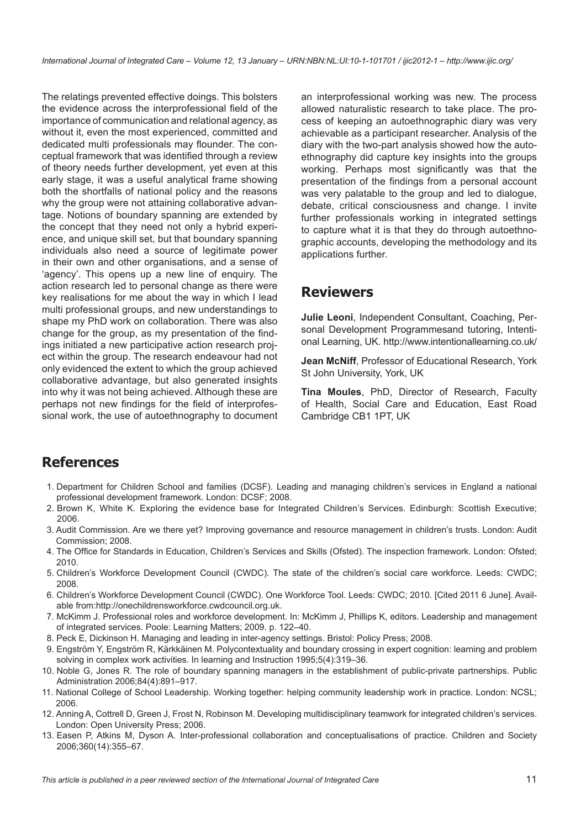<span id="page-10-0"></span>The relatings prevented effective doings. This bolsters the evidence across the interprofessional field of the importance of communication and relational agency, as without it, even the most experienced, committed and dedicated multi professionals may flounder. The conceptual framework that was identified through a review of theory needs further development, yet even at this early stage, it was a useful analytical frame showing both the shortfalls of national policy and the reasons why the group were not attaining collaborative advantage. Notions of boundary spanning are extended by the concept that they need not only a hybrid experience, and unique skill set, but that boundary spanning individuals also need a source of legitimate power in their own and other organisations, and a sense of 'agency'. This opens up a new line of enquiry. The action research led to personal change as there were key realisations for me about the way in which I lead multi professional groups, and new understandings to shape my PhD work on collaboration. There was also change for the group, as my presentation of the findings initiated a new participative action research project within the group. The research endeavour had not only evidenced the extent to which the group achieved collaborative advantage, but also generated insights into why it was not being achieved. Although these are perhaps not new findings for the field of interprofessional work, the use of autoethnography to document

an interprofessional working was new. The process allowed naturalistic research to take place. The process of keeping an autoethnographic diary was very achievable as a participant researcher. Analysis of the diary with the two-part analysis showed how the autoethnography did capture key insights into the groups working. Perhaps most significantly was that the presentation of the findings from a personal account was very palatable to the group and led to dialogue, debate, critical consciousness and change. I invite further professionals working in integrated settings to capture what it is that they do through autoethnographic accounts, developing the methodology and its applications further.

## **Reviewers**

**Julie Leoni**, Independent Consultant, Coaching, Personal Development Programmesand tutoring, Intentional Learning, UK. <http://www.intentionallearning.co.uk/>

**Jean McNiff**, Professor of Educational Research, York St John University, York, UK

**Tina Moules**, PhD, Director of Research, Faculty of Health, Social Care and Education, East Road Cambridge CB1 1PT, UK

## **References**

- 1. Department for Children School and families (DCSF). Leading and managing children's services in England a national professional development framework. London: DCSF; 2008.
- 2. Brown K, White K. Exploring the evidence base for Integrated Children's Services. Edinburgh: Scottish Executive; 2006.
- 3. Audit Commission. Are we there yet? Improving governance and resource management in children's trusts. London: Audit Commission; 2008.
- 4. The Office for Standards in Education, Children's Services and Skills (Ofsted). The inspection framework. London: Ofsted; 2010.
- 5. Children's Workforce Development Council (CWDC). The state of the children's social care workforce. Leeds: CWDC; 2008.
- 6. Children's Workforce Development Council (CWDC). One Workforce Tool. Leeds: CWDC; 2010. [Cited 2011 6 June]. Available from:<http://onechildrensworkforce.cwdcouncil.org.uk>.
- 7. McKimm J. Professional roles and workforce development. In: McKimm J, Phillips K, editors. Leadership and management of integrated services. Poole: Learning Matters; 2009. p. 122–40.
- 8. Peck E, Dickinson H. Managing and leading in inter-agency settings. Bristol: Policy Press; 2008.
- 9. Engström Y, Engström R, Kärkkäinen M. Polycontextuality and boundary crossing in expert cognition: learning and problem solving in complex work activities. In learning and Instruction 1995;5(4):319–36.
- 10. Noble G, Jones R. The role of boundary spanning managers in the establishment of public-private partnerships. Public Administration 2006;84(4):891–917.
- 11. National College of School Leadership. Working together: helping community leadership work in practice. London: NCSL; 2006.
- 12. Anning A, Cottrell D, Green J, Frost N, Robinson M. Developing multidisciplinary teamwork for integrated children's services. London: Open University Press; 2006.
- 13. Easen P, Atkins M, Dyson A. Inter-professional collaboration and conceptualisations of practice. Children and Society 2006;360(14):355–67.